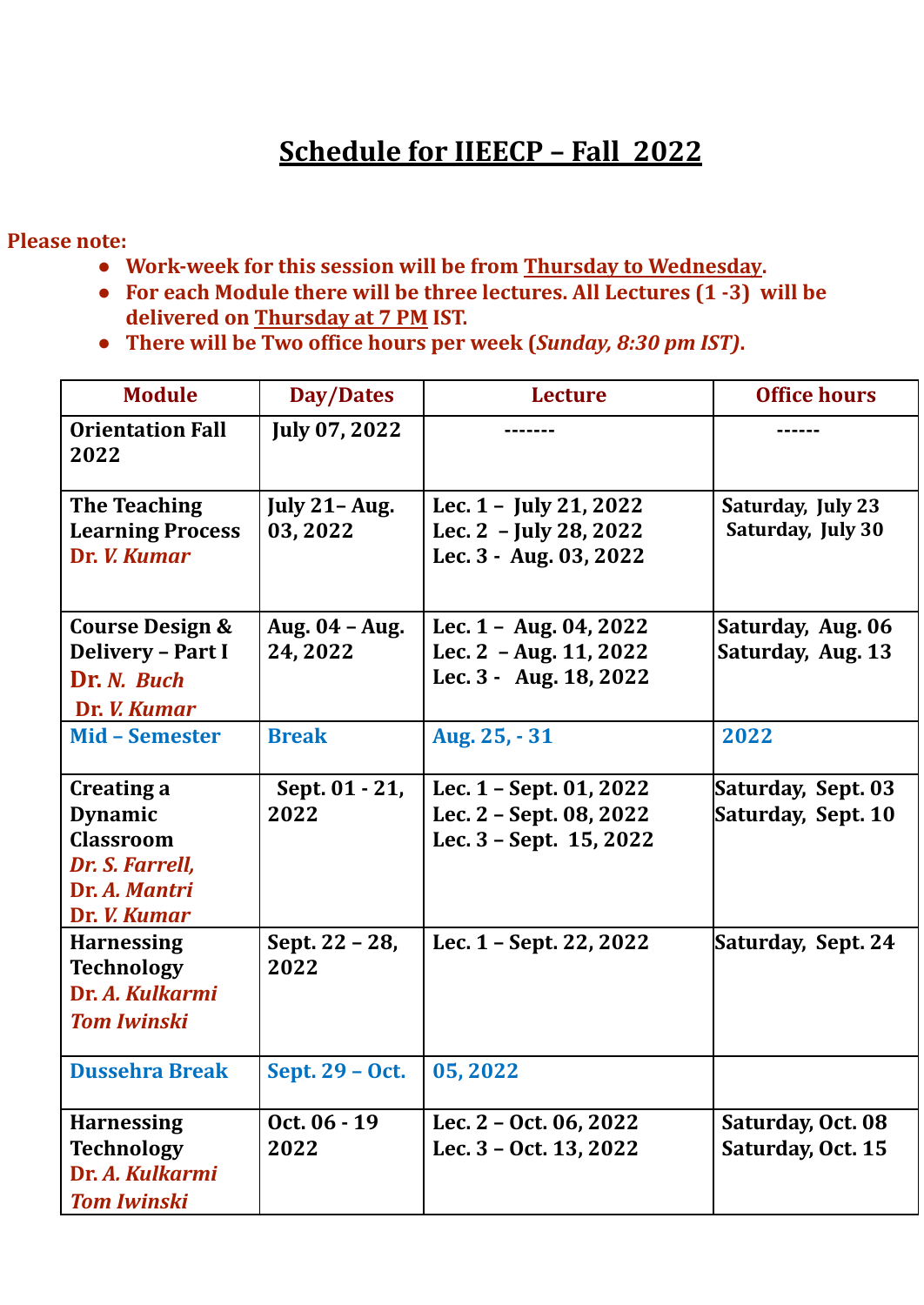## **Schedule for IIEECP – Fall 2022**

**Please note:**

- **● Work-week for this session will be from Thursday to Wednesday.**
- **● For each Module there will be three lectures. All Lectures (1 -3) will be delivered on Thursday at 7 PM IST.**
- **● There will be Two office hours per week (***Sunday, 8:30 pm IST)***.**

| <b>Module</b>                                                                                        | <b>Day/Dates</b>                | <b>Lecture</b>                                                                         | <b>Office hours</b>                      |
|------------------------------------------------------------------------------------------------------|---------------------------------|----------------------------------------------------------------------------------------|------------------------------------------|
| <b>Orientation Fall</b><br>2022                                                                      | July 07, 2022                   |                                                                                        |                                          |
| <b>The Teaching</b><br><b>Learning Process</b><br>Dr. <i>V. Kumar</i>                                | <b>July 21-Aug.</b><br>03, 2022 | Lec. $1 -$ July 21, 2022<br>Lec. $2 - July 28, 2022$<br>Lec. 3 - Aug. 03, 2022         | Saturday, July 23<br>Saturday, July 30   |
| Course Design &<br><b>Delivery - Part I</b><br>Dr. N. Buch<br>Dr. <i>V. Kumar</i>                    | Aug. 04 - Aug.<br>24, 2022      | Lec. $1 - \text{Aug. } 04, 2022$<br>Lec. $2 - Aug. 11, 2022$<br>Lec. 3 - Aug. 18, 2022 | Saturday, Aug. 06<br>Saturday, Aug. 13   |
| <b>Mid - Semester</b>                                                                                | <b>Break</b>                    | Aug. 25, - 31                                                                          | 2022                                     |
| Creating a<br><b>Dynamic</b><br><b>Classroom</b><br>Dr. S. Farrell,<br>Dr. A. Mantri<br>Dr. V. Kumar | Sept. 01 - 21,<br>2022          | Lec. 1 - Sept. 01, 2022<br>Lec. 2 - Sept. 08, 2022<br>Lec. 3 - Sept. 15, 2022          | Saturday, Sept. 03<br>Saturday, Sept. 10 |
| <b>Harnessing</b><br><b>Technology</b><br>Dr. A. Kulkarmi<br><b>Tom Iwinski</b>                      | Sept. 22 - 28,<br>2022          | Lec. 1 - Sept. 22, 2022                                                                | Saturday, Sept. 24                       |
| <b>Dussehra Break</b>                                                                                | Sept. 29 - Oct.                 | 05,2022                                                                                |                                          |
| <b>Harnessing</b><br><b>Technology</b><br>Dr. A. Kulkarmi<br><b>Tom Iwinski</b>                      | Oct. 06 - 19<br>2022            | Lec. 2 - Oct. 06, 2022<br>Lec. 3 - Oct. 13, 2022                                       | Saturday, Oct. 08<br>Saturday, Oct. 15   |